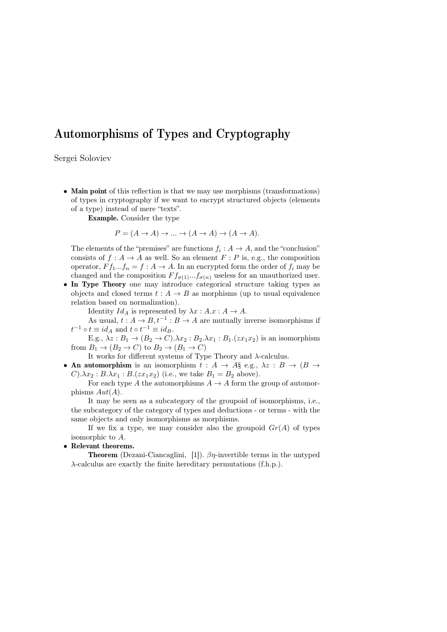## Automorphisms of Types and Cryptography

Sergei Soloviev

• Main point of this reflection is that we may use morphisms (transformations) of types in cryptography if we want to encrypt structured objects (elements of a type) instead of mere "texts".

Example. Consider the type

$$
P = (A \to A) \to \dots \to (A \to A) \to (A \to A).
$$

The elements of the "premises" are functions  $f_i: A \to A$ , and the "conclusion" consists of  $f : A \to A$  as well. So an element  $F : P$  is, e.g., the composition operator,  $F f_1...f_n = f : A \to A$ . In an encrypted form the order of  $f_i$  may be changed and the composition  $F f_{\sigma(1)}...f_{\sigma(n)}$  useless for an unauthorized user.

• In Type Theory one may introduce categorical structure taking types as objects and closed terms  $t : A \rightarrow B$  as morphisms (up to usual equivalence relation based on normalization).

Identity  $Id_A$  is represented by  $\lambda x : A.x : A \to A$ .

As usual,  $t: A \to B, t^{-1}: B \to A$  are mutually inverse isomorphisms if  $t^{-1} \circ t \equiv id_A$  and  $t \circ t^{-1} \equiv id_B$ .

E.g.,  $\lambda z : B_1 \to (B_2 \to C) \cdot \lambda x_2 : B_2 \cdot \lambda x_1 : B_1 \cdot (zx_1x_2)$  is an isomorphism from  $B_1 \to (B_2 \to C)$  to  $B_2 \to (B_1 \to C)$ 

It works for different systems of Type Theory and  $\lambda$ -calculus.

• An automorphism is an isomorphism  $t : A \rightarrow A \S e.g., \lambda z : B \rightarrow (B \rightarrow B \S e.g.)$  $C$ ). $\lambda x_2 : B.\lambda x_1 : B.(zx_1x_2)$  (i.e., we take  $B_1 = B_2$  above).

For each type A the automorphisms  $A \to A$  form the group of automorphisms  $Aut(A)$ .

It may be seen as a subcategory of the groupoid of isomorphisms, i.e., the subcategory of the category of types and deductions - or terms - with the same objects and only isomorphisms as morphisms.

If we fix a type, we may consider also the groupoid  $Gr(A)$  of types isomorphic to A.

## • Relevant theorems.

**Theorem** (Dezani-Ciancaglini, [1]).  $\beta\eta$ -invertible terms in the untyped λ-calculus are exactly the finite hereditary permutations (f.h.p.).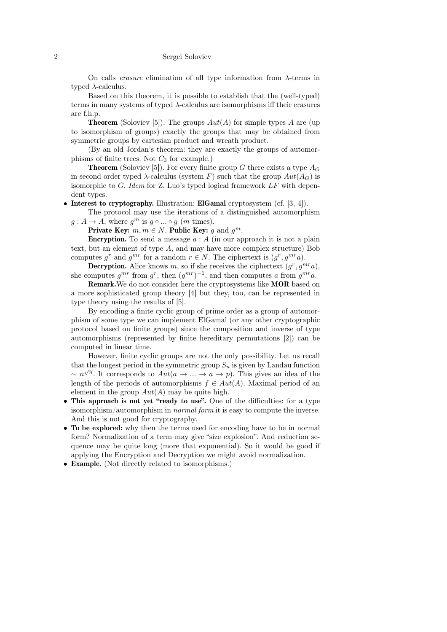## 2 Sergei Soloviev

On calls *erasure* elimination of all type information from  $\lambda$ -terms in typed  $\lambda$ -calculus.

Based on this theorem, it is possible to establish that the (well-typed) terms in many systems of typed  $\lambda$ -calculus are isomorphisms iff their erasures are f.h.p.

**Theorem** (Soloviev [5]). The groups  $Aut(A)$  for simple types A are (up to isomorphism of groups) exactly the groups that may be obtained from symmetric groups by cartesian product and wreath product.

(By an old Jordan's theorem: they are exactly the groups of automorphisms of finite trees. Not  $C_3$  for example.)

**Theorem** (Soloviev [5]). For every finite group G there exists a type  $A_G$ in second order typed  $\lambda$ -calculus (system F) such that the group  $Aut(A_G)$  is isomorphic to  $G$ . Idem for Z. Luo's typed logical framework  $LF$  with dependent types.

Interest to cryptography. Illustration: ElGamal cryptosystem (cf. [3, 4]).

The protocol may use the iterations of a distinguished automorphism  $g: A \to A$ , where  $g^m$  is  $g \circ ... \circ g$  (*m* times).

Private Key:  $m, m \in N$ . Public Key: g and  $g^m$ .

**Encryption.** To send a message  $a : A$  (in our approach it is not a plain text, but an element of type A, and may have more complex structure) Bob computes  $g^r$  and  $g^{mr}$  for a random  $r \in N$ . The ciphertext is  $(g^r, g^{mr}a)$ .

**Decryption.** Alice knows m, so if she receives the ciphertext  $(g^r, g^{mr}a)$ , she computes  $g^{mr}$  from  $g^r$ , then  $(g^{mr})^{-1}$ , and then computes a from  $g^{mr}a$ .

Remark.We do not consider here the cryptosystems like MOR based on a more sophisticated group theory [4] but they, too, can be represented in type theory using the results of [5].

By encoding a finite cyclic group of prime order as a group of automorphism of some type we can implement ElGamal (or any other cryptographic protocol based on finite groups) since the composition and inverse of type automorphisms (represented by finite hereditary permutations [2]) can be computed in linear time.

However, finite cyclic groups are not the only possibility. Let us recall that the longest period in the symmetric group  $S_n$  is given by Landau function  $\sim n^{\sqrt{n}}$ . It corresponds to  $Aut(a \to \dots \to a \to p)$ . This gives an idea of the length of the periods of automorphisms  $f \in Aut(A)$ . Maximal period of an element in the group  $Aut(A)$  may be quite high.

- This approach is not yet "ready to use". One of the difficulties: for a type isomorphism/automorphism in normal form it is easy to compute the inverse. And this is not good for cryptography.
- To be explored: why then the terms used for encoding have to be in normal form? Normalization of a term may give "size explosion". And reduction sequence may be quite long (more that exponential). So it would be good if applying the Encryption and Decryption we might avoid normalization.
- Example. (Not directly related to isomorphisms.)